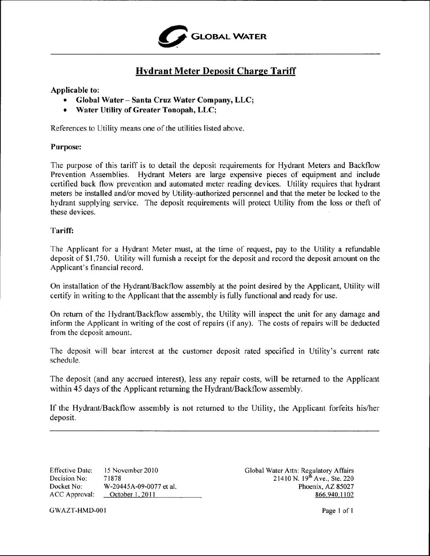

## **Hydrant Meter Deposit Charge Tariff**

### **Applicable to:**

- **• Global Water Santa Cruz Water Company, LLC;**
- **• Water Utility of Greater Tonopah, LLC;**

References to Utility means one of the utilities listed above.

#### **Purpose:**

The purpose of this tariff is to detail the deposit requirements for Hydrant Meters and Backflow Prevention Assemblies. Hydrant Meters are large expensive pieces of equipment and include certified back flow prevention and automated meter reading devices. Utility requires that hydrant meters be installed and/or moved by Utility-authorized personnel and that the meter be locked to the hydrant supplying service. The deposit requirements will protect Utility from the loss or theft of these devices.

#### **Tariff:**

The Applicant for a Hydrant Meter must, at the time of request, pay to the Utility a refundable deposit of \$1 ,750. Utility will furnish a receipt for the deposit and record the deposit amount on the Applicant's financial record.

On installation of the Hydrant/Backflow assembly at the point desired by the Applicant, Utility will certify in writing to the Applicant that the assembly is fully functional and ready for use.

On return of the Hydrant/Backfiow assembly, the Utility will inspect the unit for any damage and inform the Applicant in writing of the cost of repairs (if any). The costs of repairs will be deducted from the deposit amount.

The deposit will bear interest at the customer deposit rated specified in Utility's current rate schedule.

The deposit (and any accrued interest), less any repair costs, will be returned to the Applicant within 45 days of **the** Applicant returning the Hydrant/Backflow assembly.

If the Hydrant/Backflow assembly is not returned to the Utility, the Applicant forfeits his/her deposit.

15 November 2010 71878 W-20445A-09-0077 et al. October 1, 2011 Effective Date: Decision No: Docket No: ACC Approval:

Global Water Attn: Regulatory Affairs 21410 N. 19<sup>th</sup> Ave., Ste. 220 Phoenix, **AZ** 85027 866.940. I l02

GWAZT-HMD-001 Page 1 of 1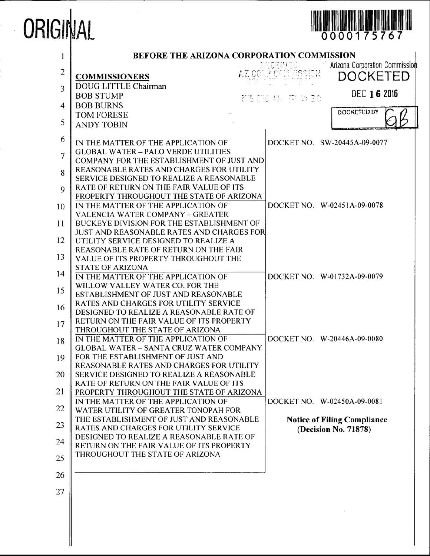# ORIGINAL



| $\mathbf{1}$   | BEFORE THE ARIZONA CORPORATION COMMISSION                                             |                                            |
|----------------|---------------------------------------------------------------------------------------|--------------------------------------------|
| $\overline{c}$ | AZ CO<br>COMMISSIONERS                                                                | Arizona Corporation Commission<br>DOCKETED |
| 3              | DOUG LITTLE Chairman                                                                  | DEC 16 2016                                |
| $\overline{4}$ | <b>BOB STUMP</b><br><b>BOB BURNS</b>                                                  | 전통 [23] 15년 72년 1210                       |
|                | <b>TOM FORESE</b>                                                                     | DOCKETED BY                                |
| 5              | <b>ANDY TOBIN</b>                                                                     |                                            |
| 6              | IN THE MATTER OF THE APPLICATION OF                                                   | DOCKET NO. SW-20445A-09-0077               |
| $\overline{7}$ | <b>GLOBAL WATER - PALO VERDE UTILITIES</b>                                            |                                            |
|                | COMPANY FOR THE ESTABLISHMENT OF JUST AND                                             |                                            |
| 8              | REASONABLE RATES AND CHARGES FOR UTILITY<br>SERVICE DESIGNED TO REALIZE A REASONABLE  |                                            |
| 9              | RATE OF RETURN ON THE FAIR VALUE OF ITS                                               |                                            |
|                | PROPERTY THROUGHOUT THE STATE OF ARIZONA                                              |                                            |
| 10             | IN THE MATTER OF THE APPLICATION OF                                                   | DOCKET NO. W-02451A-09-0078                |
| 11             | <b>VALENCIA WATER COMPANY - GREATER</b><br>BUCKEYE DIVISION FOR THE ESTABLISHMENT OF  |                                            |
|                | <b>JUST AND REASONABLE RATES AND CHARGES FOR</b>                                      |                                            |
| 12             | UTILITY SERVICE DESIGNED TO REALIZE A                                                 |                                            |
| 13             | REASONABLE RATE OF RETURN ON THE FAIR                                                 |                                            |
|                | VALUE OF ITS PROPERTY THROUGHOUT THE<br><b>STATE OF ARIZONA</b>                       |                                            |
| 14             | IN THE MATTER OF THE APPLICATION OF                                                   | DOCKET NO. W-01732A-09-0079                |
| 15             | WILLOW VALLEY WATER CO. FOR THE                                                       |                                            |
|                | ESTABLISHMENT OF JUST AND REASONABLE<br><b>RATES AND CHARGES FOR UTILITY SERVICE</b>  |                                            |
| 16             | DESIGNED TO REALIZE A REASONABLE RATE OF                                              |                                            |
| 17             | RETURN ON THE FAIR VALUE OF ITS PROPERTY                                              |                                            |
|                | THROUGHOUT THE STATE OF ARIZONA                                                       |                                            |
| 18             | IN THE MATTER OF THE APPLICATION OF<br><b>GLOBAL WATER - SANTA CRUZ WATER COMPANY</b> | DOCKET NO. W-20446A-09-0080                |
| 19             | FOR THE ESTABLISHMENT OF JUST AND                                                     |                                            |
|                | <b>REASONABLE RATES AND CHARGES FOR UTILITY</b>                                       |                                            |
| 20             | <b>SERVICE DESIGNED TO REALIZE A REASONABLE</b>                                       |                                            |
| 21             | RATE OF RETURN ON THE FAIR VALUE OF ITS<br>PROPERTY THROUGHOUT THE STATE OF ARIZONA   |                                            |
|                | IN THE MATTER OF THE APPLICATION OF                                                   | DOCKET NO. W-02450A-09-0081                |
| 22             | WATER UTILITY OF GREATER TONOPAH FOR                                                  |                                            |
| 23             | THE ESTABLISHMENT OF JUST AND REASONABLE                                              | <b>Notice of Filing Compliance</b>         |
|                | RATES AND CHARGES FOR UTILITY SERVICE<br>DESIGNED TO REALIZE A REASONABLE RATE OF     | (Decision No. 71878)                       |
| 24             | RETURN ON THE FAIR VALUE OF ITS PROPERTY                                              |                                            |
| 25             | THROUGHOUT THE STATE OF ARIZONA                                                       |                                            |
| 26             |                                                                                       |                                            |
| 27             |                                                                                       |                                            |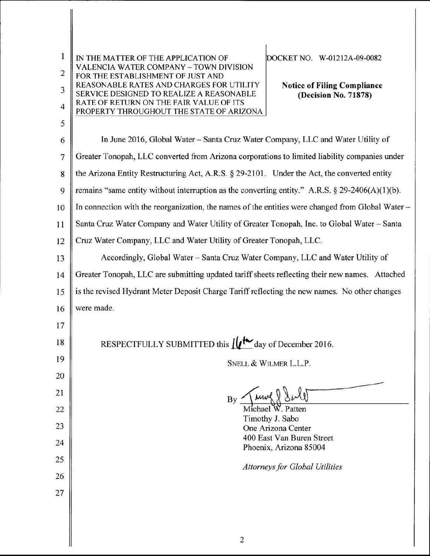| 1<br>$\overline{c}$ | DOCKET NO. W-01212A-09-0082<br>IN THE MATTER OF THE APPLICATION OF<br>VALENCIA WATER COMPANY - TOWN DIVISION<br>FOR THE ESTABLISHMENT OF JUST AND  |  |  |
|---------------------|----------------------------------------------------------------------------------------------------------------------------------------------------|--|--|
| 3                   | REASONABLE RATES AND CHARGES FOR UTILITY<br><b>Notice of Filing Compliance</b><br>SERVICE DESIGNED TO REALIZE A REASONABLE<br>(Decision No. 71878) |  |  |
| $\overline{4}$      | RATE OF RETURN ON THE FAIR VALUE OF ITS<br>PROPERTY THROUGHOUT THE STATE OF ARIZONA                                                                |  |  |
| 5                   |                                                                                                                                                    |  |  |
| 6                   | In June 2016, Global Water - Santa Cruz Water Company, LLC and Water Utility of                                                                    |  |  |
| 7                   | Greater Tonopah, LLC converted from Arizona corporations to limited liability companies under                                                      |  |  |
| 8                   | the Arizona Entity Restructuring Act, A.R.S. § 29-2101. Under the Act, the converted entity                                                        |  |  |
| 9                   | remains "same entity without interruption as the converting entity." A.R.S. $\S 29-2406(A)(1)(b)$ .                                                |  |  |
| 10                  | In connection with the reorganization, the names of the entities were changed from Global Water -                                                  |  |  |
| 11                  | Santa Cruz Water Company and Water Utility of Greater Tonopah, Inc. to Global Water - Santa                                                        |  |  |
| 12                  | Cruz Water Company, LLC and Water Utility of Greater Tonopah, LLC.                                                                                 |  |  |
| 13                  | Accordingly, Global Water – Santa Cruz Water Company, LLC and Water Utility of                                                                     |  |  |
| 14                  | Greater Tonopah, LLC are submitting updated tariff sheets reflecting their new names. Attached                                                     |  |  |
| 15                  | is the revised Hydrant Meter Deposit Charge Tariff reflecting the new names. No other changes                                                      |  |  |
| 16                  | were made.                                                                                                                                         |  |  |
| 17                  |                                                                                                                                                    |  |  |
| 18                  | RESPECTFULLY SUBMITTED this $\iint_{\mathbf{C}} \mathbf{f} \cdot d\mathbf{a}$ of December 2016.                                                    |  |  |
| 19                  | SNELL & WILMER L.L.P.                                                                                                                              |  |  |
| 20                  |                                                                                                                                                    |  |  |
| 21                  | <i>Mw</i><br>By                                                                                                                                    |  |  |
| 22                  | Michael W. Patten<br>Timothy J. Sabo                                                                                                               |  |  |
| 23                  | One Arizona Center                                                                                                                                 |  |  |
| 24                  | 400 East Van Buren Street<br>Phoenix, Arizona 85004                                                                                                |  |  |
| 25                  | <b>Attorneys for Global Utilities</b>                                                                                                              |  |  |
| 26                  |                                                                                                                                                    |  |  |
| 27                  |                                                                                                                                                    |  |  |
|                     |                                                                                                                                                    |  |  |
|                     |                                                                                                                                                    |  |  |
|                     | $\overline{2}$                                                                                                                                     |  |  |